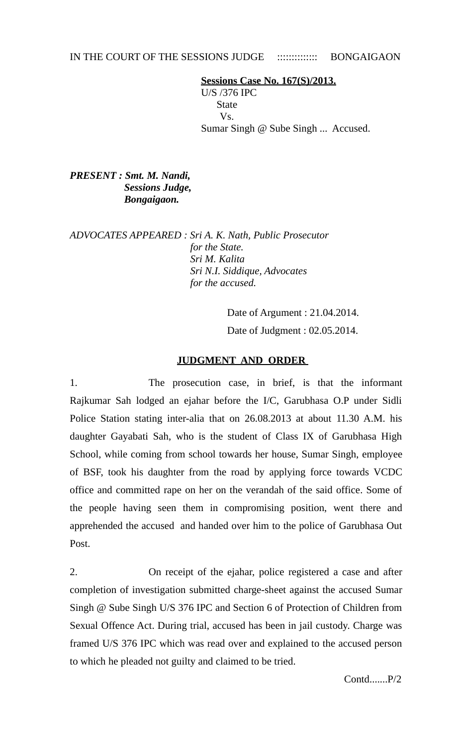## IN THE COURT OF THE SESSIONS JUDGE :::::::::::::::: BONGAIGAON

 **Sessions Case No. 167(S)/2013.** U/S /376 IPC State Vs. Sumar Singh @ Sube Singh ... Accused.

*PRESENT : Smt. M. Nandi, Sessions Judge, Bongaigaon.* 

*ADVOCATES APPEARED : Sri A. K. Nath, Public Prosecutor for the State. Sri M. Kalita Sri N.I. Siddique, Advocates for the accused.* 

> Date of Argument : 21.04.2014. Date of Judgment : 02.05.2014.

## **JUDGMENT AND ORDER**

1. The prosecution case, in brief, is that the informant Rajkumar Sah lodged an ejahar before the I/C, Garubhasa O.P under Sidli Police Station stating inter-alia that on 26.08.2013 at about 11.30 A.M. his daughter Gayabati Sah, who is the student of Class IX of Garubhasa High School, while coming from school towards her house, Sumar Singh, employee of BSF, took his daughter from the road by applying force towards VCDC office and committed rape on her on the verandah of the said office. Some of the people having seen them in compromising position, went there and apprehended the accused and handed over him to the police of Garubhasa Out Post.

2. On receipt of the ejahar, police registered a case and after completion of investigation submitted charge-sheet against the accused Sumar Singh @ Sube Singh U/S 376 IPC and Section 6 of Protection of Children from Sexual Offence Act. During trial, accused has been in jail custody. Charge was framed U/S 376 IPC which was read over and explained to the accused person to which he pleaded not guilty and claimed to be tried.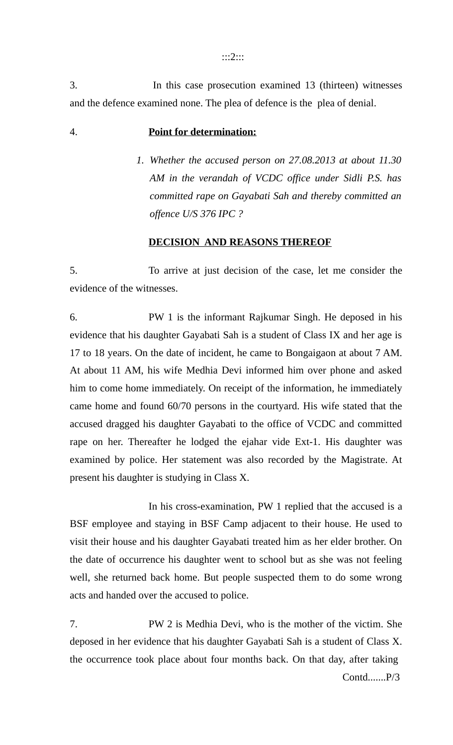:::2:::

3. In this case prosecution examined 13 (thirteen) witnesses and the defence examined none. The plea of defence is the plea of denial.

## 4. **Point for determination:**

*1. Whether the accused person on 27.08.2013 at about 11.30 AM in the verandah of VCDC office under Sidli P.S. has committed rape on Gayabati Sah and thereby committed an offence U/S 376 IPC ?*

## **DECISION AND REASONS THEREOF**

5. To arrive at just decision of the case, let me consider the evidence of the witnesses.

6. PW 1 is the informant Rajkumar Singh. He deposed in his evidence that his daughter Gayabati Sah is a student of Class IX and her age is 17 to 18 years. On the date of incident, he came to Bongaigaon at about 7 AM. At about 11 AM, his wife Medhia Devi informed him over phone and asked him to come home immediately. On receipt of the information, he immediately came home and found 60/70 persons in the courtyard. His wife stated that the accused dragged his daughter Gayabati to the office of VCDC and committed rape on her. Thereafter he lodged the ejahar vide Ext-1. His daughter was examined by police. Her statement was also recorded by the Magistrate. At present his daughter is studying in Class X.

In his cross-examination, PW 1 replied that the accused is a BSF employee and staying in BSF Camp adjacent to their house. He used to visit their house and his daughter Gayabati treated him as her elder brother. On the date of occurrence his daughter went to school but as she was not feeling well, she returned back home. But people suspected them to do some wrong acts and handed over the accused to police.

7. PW 2 is Medhia Devi, who is the mother of the victim. She deposed in her evidence that his daughter Gayabati Sah is a student of Class X. the occurrence took place about four months back. On that day, after taking Contd.......P/3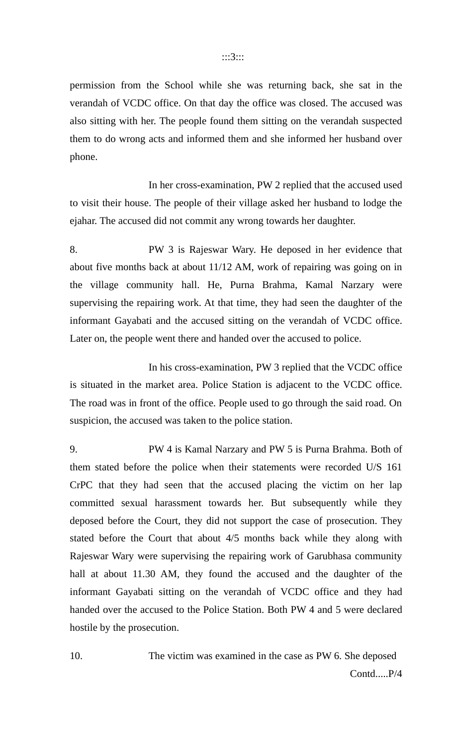permission from the School while she was returning back, she sat in the verandah of VCDC office. On that day the office was closed. The accused was also sitting with her. The people found them sitting on the verandah suspected them to do wrong acts and informed them and she informed her husband over phone.

In her cross-examination, PW 2 replied that the accused used to visit their house. The people of their village asked her husband to lodge the ejahar. The accused did not commit any wrong towards her daughter.

8. PW 3 is Rajeswar Wary. He deposed in her evidence that about five months back at about 11/12 AM, work of repairing was going on in the village community hall. He, Purna Brahma, Kamal Narzary were supervising the repairing work. At that time, they had seen the daughter of the informant Gayabati and the accused sitting on the verandah of VCDC office. Later on, the people went there and handed over the accused to police.

In his cross-examination, PW 3 replied that the VCDC office is situated in the market area. Police Station is adjacent to the VCDC office. The road was in front of the office. People used to go through the said road. On suspicion, the accused was taken to the police station.

9. PW 4 is Kamal Narzary and PW 5 is Purna Brahma. Both of them stated before the police when their statements were recorded U/S 161 CrPC that they had seen that the accused placing the victim on her lap committed sexual harassment towards her. But subsequently while they deposed before the Court, they did not support the case of prosecution. They stated before the Court that about 4/5 months back while they along with Rajeswar Wary were supervising the repairing work of Garubhasa community hall at about 11.30 AM, they found the accused and the daughter of the informant Gayabati sitting on the verandah of VCDC office and they had handed over the accused to the Police Station. Both PW 4 and 5 were declared hostile by the prosecution.

10. The victim was examined in the case as PW 6. She deposed Contd.....P/4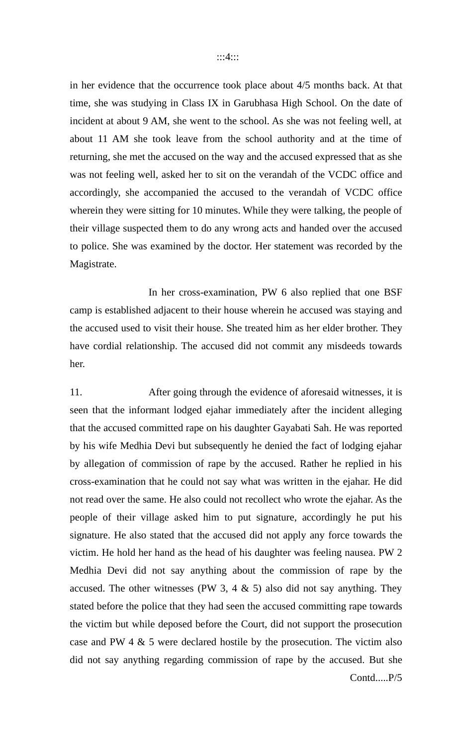in her evidence that the occurrence took place about 4/5 months back. At that time, she was studying in Class IX in Garubhasa High School. On the date of incident at about 9 AM, she went to the school. As she was not feeling well, at about 11 AM she took leave from the school authority and at the time of returning, she met the accused on the way and the accused expressed that as she was not feeling well, asked her to sit on the verandah of the VCDC office and accordingly, she accompanied the accused to the verandah of VCDC office wherein they were sitting for 10 minutes. While they were talking, the people of their village suspected them to do any wrong acts and handed over the accused to police. She was examined by the doctor. Her statement was recorded by the Magistrate.

In her cross-examination, PW 6 also replied that one BSF camp is established adjacent to their house wherein he accused was staying and the accused used to visit their house. She treated him as her elder brother. They have cordial relationship. The accused did not commit any misdeeds towards her.

11. After going through the evidence of aforesaid witnesses, it is seen that the informant lodged ejahar immediately after the incident alleging that the accused committed rape on his daughter Gayabati Sah. He was reported by his wife Medhia Devi but subsequently he denied the fact of lodging ejahar by allegation of commission of rape by the accused. Rather he replied in his cross-examination that he could not say what was written in the ejahar. He did not read over the same. He also could not recollect who wrote the ejahar. As the people of their village asked him to put signature, accordingly he put his signature. He also stated that the accused did not apply any force towards the victim. He hold her hand as the head of his daughter was feeling nausea. PW 2 Medhia Devi did not say anything about the commission of rape by the accused. The other witnesses (PW 3, 4  $\&$  5) also did not say anything. They stated before the police that they had seen the accused committing rape towards the victim but while deposed before the Court, did not support the prosecution case and PW 4 & 5 were declared hostile by the prosecution. The victim also did not say anything regarding commission of rape by the accused. But she Contd.....P/5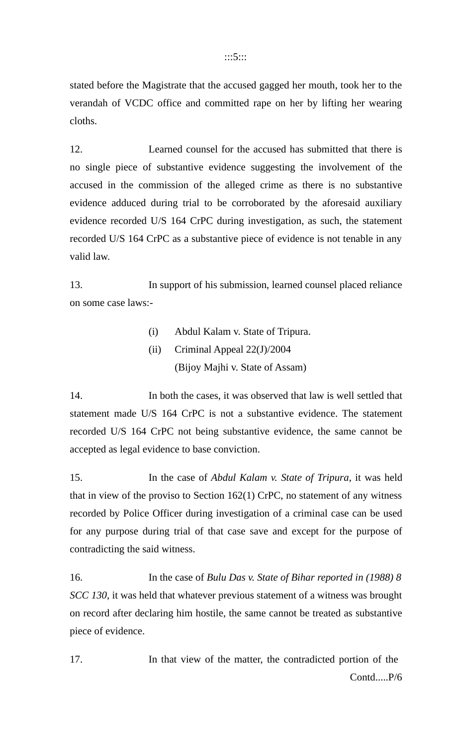:::5:::

stated before the Magistrate that the accused gagged her mouth, took her to the verandah of VCDC office and committed rape on her by lifting her wearing cloths.

12. Learned counsel for the accused has submitted that there is no single piece of substantive evidence suggesting the involvement of the accused in the commission of the alleged crime as there is no substantive evidence adduced during trial to be corroborated by the aforesaid auxiliary evidence recorded U/S 164 CrPC during investigation, as such, the statement recorded U/S 164 CrPC as a substantive piece of evidence is not tenable in any valid law.

13. In support of his submission, learned counsel placed reliance on some case laws:-

- (i) Abdul Kalam v. State of Tripura.
- (ii) Criminal Appeal 22(J)/2004 (Bijoy Majhi v. State of Assam)

14. In both the cases, it was observed that law is well settled that statement made U/S 164 CrPC is not a substantive evidence. The statement recorded U/S 164 CrPC not being substantive evidence, the same cannot be accepted as legal evidence to base conviction.

15. In the case of *Abdul Kalam v. State of Tripura*, it was held that in view of the proviso to Section 162(1) CrPC, no statement of any witness recorded by Police Officer during investigation of a criminal case can be used for any purpose during trial of that case save and except for the purpose of contradicting the said witness.

16. In the case of *Bulu Das v. State of Bihar reported in (1988) 8 SCC 130*, it was held that whatever previous statement of a witness was brought on record after declaring him hostile, the same cannot be treated as substantive piece of evidence.

17. In that view of the matter, the contradicted portion of the Contd.....P/6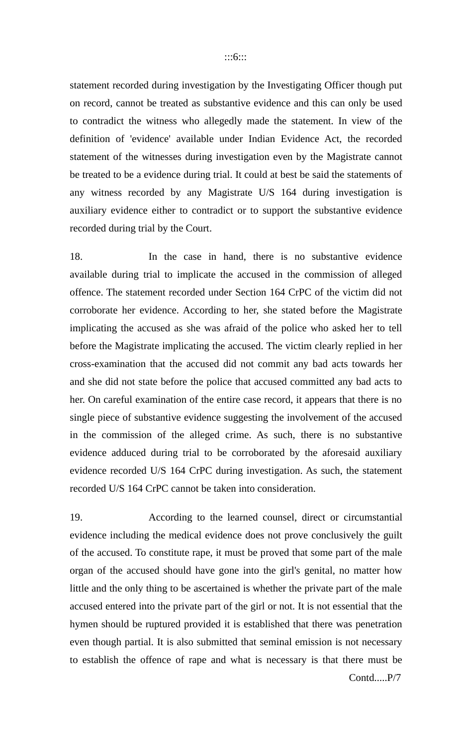statement recorded during investigation by the Investigating Officer though put on record, cannot be treated as substantive evidence and this can only be used to contradict the witness who allegedly made the statement. In view of the definition of 'evidence' available under Indian Evidence Act, the recorded statement of the witnesses during investigation even by the Magistrate cannot be treated to be a evidence during trial. It could at best be said the statements of any witness recorded by any Magistrate U/S 164 during investigation is auxiliary evidence either to contradict or to support the substantive evidence recorded during trial by the Court.

18. In the case in hand, there is no substantive evidence available during trial to implicate the accused in the commission of alleged offence. The statement recorded under Section 164 CrPC of the victim did not corroborate her evidence. According to her, she stated before the Magistrate implicating the accused as she was afraid of the police who asked her to tell before the Magistrate implicating the accused. The victim clearly replied in her cross-examination that the accused did not commit any bad acts towards her and she did not state before the police that accused committed any bad acts to her. On careful examination of the entire case record, it appears that there is no single piece of substantive evidence suggesting the involvement of the accused in the commission of the alleged crime. As such, there is no substantive evidence adduced during trial to be corroborated by the aforesaid auxiliary evidence recorded U/S 164 CrPC during investigation. As such, the statement recorded U/S 164 CrPC cannot be taken into consideration.

19. According to the learned counsel, direct or circumstantial evidence including the medical evidence does not prove conclusively the guilt of the accused. To constitute rape, it must be proved that some part of the male organ of the accused should have gone into the girl's genital, no matter how little and the only thing to be ascertained is whether the private part of the male accused entered into the private part of the girl or not. It is not essential that the hymen should be ruptured provided it is established that there was penetration even though partial. It is also submitted that seminal emission is not necessary to establish the offence of rape and what is necessary is that there must be Contd.....P/7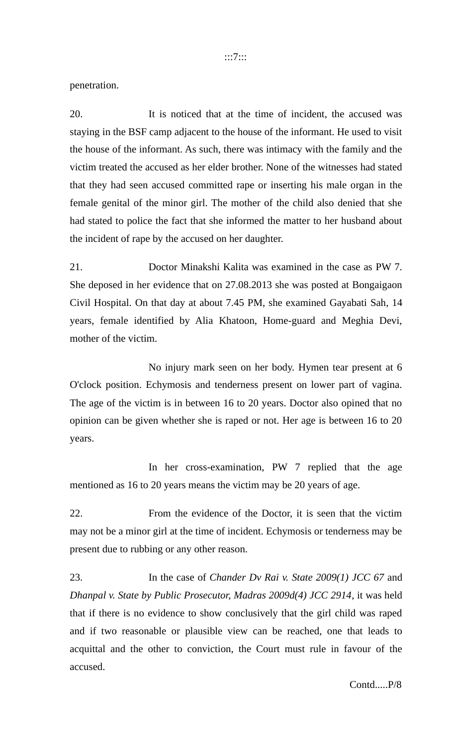penetration.

20. It is noticed that at the time of incident, the accused was staying in the BSF camp adjacent to the house of the informant. He used to visit the house of the informant. As such, there was intimacy with the family and the victim treated the accused as her elder brother. None of the witnesses had stated that they had seen accused committed rape or inserting his male organ in the female genital of the minor girl. The mother of the child also denied that she had stated to police the fact that she informed the matter to her husband about the incident of rape by the accused on her daughter.

21. Doctor Minakshi Kalita was examined in the case as PW 7. She deposed in her evidence that on 27.08.2013 she was posted at Bongaigaon Civil Hospital. On that day at about 7.45 PM, she examined Gayabati Sah, 14 years, female identified by Alia Khatoon, Home-guard and Meghia Devi, mother of the victim.

No injury mark seen on her body. Hymen tear present at 6 O'clock position. Echymosis and tenderness present on lower part of vagina. The age of the victim is in between 16 to 20 years. Doctor also opined that no opinion can be given whether she is raped or not. Her age is between 16 to 20 years.

In her cross-examination, PW 7 replied that the age mentioned as 16 to 20 years means the victim may be 20 years of age.

22. From the evidence of the Doctor, it is seen that the victim may not be a minor girl at the time of incident. Echymosis or tenderness may be present due to rubbing or any other reason.

23. In the case of *Chander Dv Rai v. State 2009(1) JCC 67* and *Dhanpal v. State by Public Prosecutor, Madras 2009d(4) JCC 2914*, it was held that if there is no evidence to show conclusively that the girl child was raped and if two reasonable or plausible view can be reached, one that leads to acquittal and the other to conviction, the Court must rule in favour of the accused.